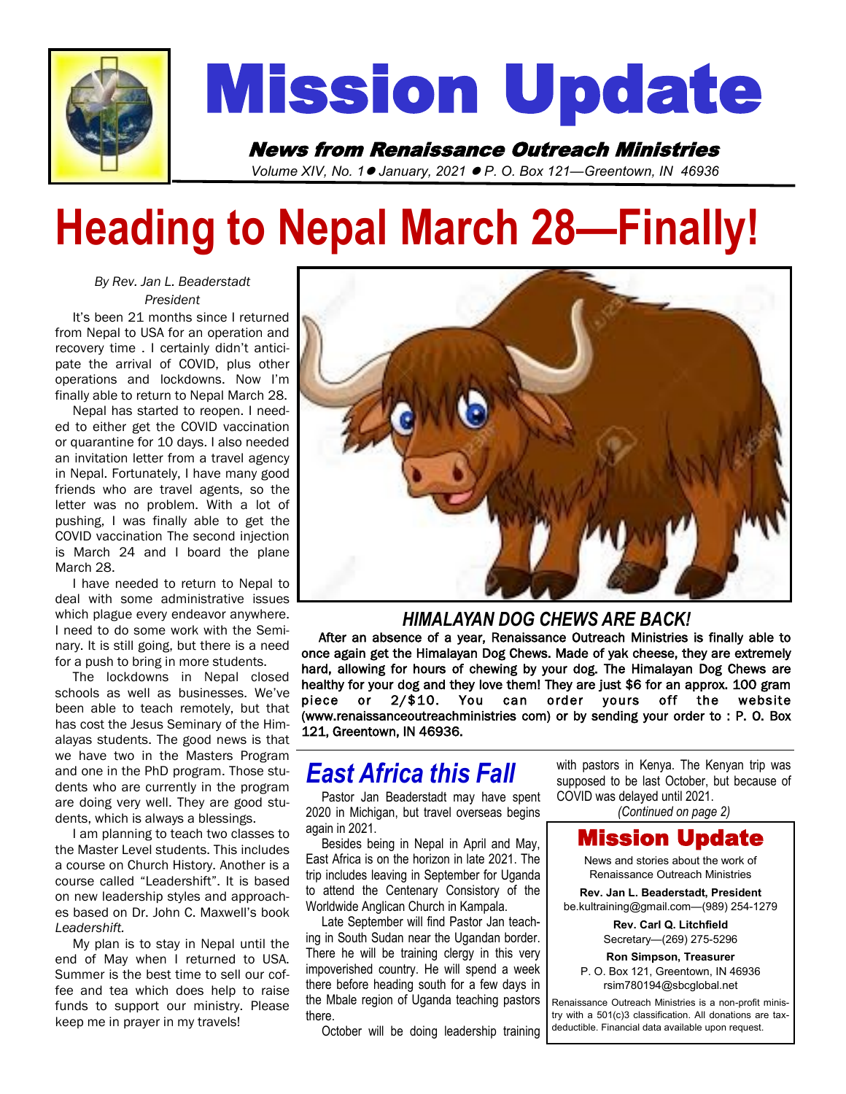

# Mission Update

News from Renaissance Outreach Ministries *Volume XIV, No. 1*⚫ *January, 2021* ⚫ *P. O. Box 121—Greentown, IN 46936* 

# **Heading to Nepal March 28—Finally!**

#### *By Rev. Jan L. Beaderstadt President*

 It's been 21 months since I returned from Nepal to USA for an operation and recovery time . I certainly didn't anticipate the arrival of COVID, plus other operations and lockdowns. Now I'm finally able to return to Nepal March 28.

 Nepal has started to reopen. I needed to either get the COVID vaccination or quarantine for 10 days. I also needed an invitation letter from a travel agency in Nepal. Fortunately, I have many good friends who are travel agents, so the letter was no problem. With a lot of pushing, I was finally able to get the COVID vaccination The second injection is March 24 and I board the plane March 28.

 I have needed to return to Nepal to deal with some administrative issues which plague every endeavor anywhere. I need to do some work with the Seminary. It is still going, but there is a need for a push to bring in more students.

 The lockdowns in Nepal closed schools as well as businesses. We've been able to teach remotely, but that has cost the Jesus Seminary of the Himalayas students. The good news is that we have two in the Masters Program and one in the PhD program. Those students who are currently in the program are doing very well. They are good students, which is always a blessings.

 I am planning to teach two classes to the Master Level students. This includes a course on Church History. Another is a course called "Leadershift". It is based on new leadership styles and approaches based on Dr. John C. Maxwell's book *Leadershift.*

 My plan is to stay in Nepal until the end of May when I returned to USA. Summer is the best time to sell our coffee and tea which does help to raise funds to support our ministry. Please keep me in prayer in my travels!



#### *HIMALAYAN DOG CHEWS ARE BACK!*

 After an absence of a year, Renaissance Outreach Ministries is finally able to once again get the Himalayan Dog Chews. Made of yak cheese, they are extremely hard, allowing for hours of chewing by your dog. The Himalayan Dog Chews are healthy for your dog and they love them! They are just \$6 for an approx. 100 gram piece or 2/\$10. You can order yours off the website (www.renaissanceoutreachministries com) or by sending your order to : P. O. Box 121, Greentown, IN 46936.

### *East Africa this Fall*

 Pastor Jan Beaderstadt may have spent 2020 in Michigan, but travel overseas begins again in 2021.

 Besides being in Nepal in April and May, East Africa is on the horizon in late 2021. The trip includes leaving in September for Uganda to attend the Centenary Consistory of the Worldwide Anglican Church in Kampala.

 Late September will find Pastor Jan teaching in South Sudan near the Ugandan border. There he will be training clergy in this very impoverished country. He will spend a week there before heading south for a few days in the Mbale region of Uganda teaching pastors there.

October will be doing leadership training

with pastors in Kenya. The Kenyan trip was supposed to be last October, but because of COVID was delayed until 2021.

*(Continued on page 2)*

#### Mission Update

News and stories about the work of Renaissance Outreach Ministries

**Rev. Jan L. Beaderstadt, President** be.kultraining@gmail.com—(989) 254-1279

> **Rev. Carl Q. Litchfield** Secretary—(269) 275-5296

**Ron Simpson, Treasurer** P. O. Box 121, Greentown, IN 46936 rsim780194@sbcglobal.net

Renaissance Outreach Ministries is a non-profit ministry with a 501(c)3 classification. All donations are taxdeductible. Financial data available upon request.